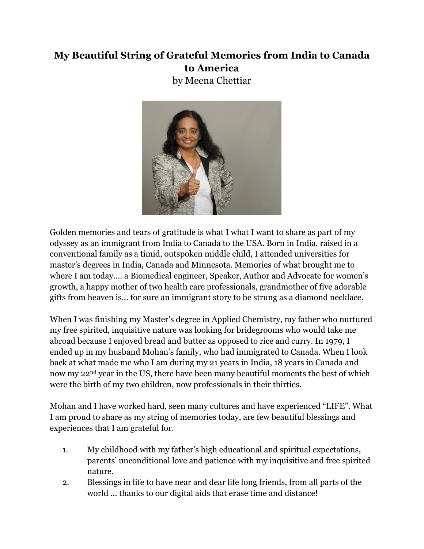## **My Beautiful String of Grateful Memories from India to Canada to America**

by Meena Chettiar



Golden memories and tears of gratitude is what I what I want to share as part of my odyssey as an immigrant from India to Canada to the USA. Born in India, raised in a conventional family as a timid, outspoken middle child, I attended universities for master's degrees in India, Canada and Minnesota. Memories of what brought me to where I am today…. a Biomedical engineer, Speaker, Author and Advocate for women's growth, a happy mother of two health care professionals, grandmother of five adorable gifts from heaven is… for sure an immigrant story to be strung as a diamond necklace.

When I was finishing my Master's degree in Applied Chemistry, my father who nurtured my free spirited, inquisitive nature was looking for bridegrooms who would take me abroad because I enjoyed bread and butter as opposed to rice and curry. In 1979, I ended up in my husband Mohan's family, who had immigrated to Canada. When I look back at what made me who I am during my 21 years in India, 18 years in Canada and now my 22nd year in the US, there have been many beautiful moments the best of which were the birth of my two children, now professionals in their thirties.

Mohan and I have worked hard, seen many cultures and have experienced "LIFE". What I am proud to share as my string of memories today, are few beautiful blessings and experiences that I am grateful for.

- 1. My childhood with my father's high educational and spiritual expectations, parents' unconditional love and patience with my inquisitive and free spirited nature.
- 2. Blessings in life to have near and dear life long friends, from all parts of the world … thanks to our digital aids that erase time and distance!